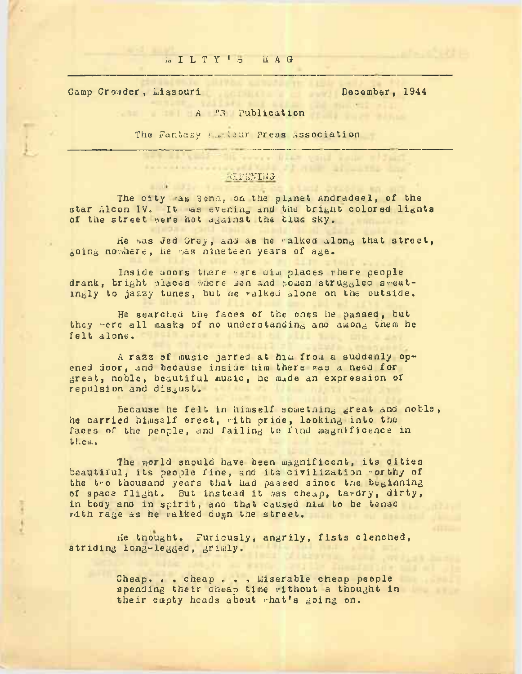### h I <sup>L</sup> <sup>T</sup> <sup>Y</sup> ' o bl <sup>A</sup> <sup>G</sup>

Camp Crowder, Lissouri December, 1944

## **A** P3 **Publication**

The Fantasy ruskeur Press association

## .HJ-FL'Mj.JG

The city ras Sena, on the planet Andradeel, of the star Alcon IV. It as evening and the bright colored lights of the street were hot against the blue sky.

He was Jed Grey, and as he walked along that street, going nowhere, he was nineteen years of age.

Inside uoors there were dim places where people drank, bright places where men and women struggled sweatingly to jazzy tunes, but he walked alone on the outside.

He searched the faces of the ones he passed, but they "ere all masks of no understanding ano among them he felt alone,

A razz of music jarred at him from a suddenly opened door, and because inside him there was a need for great, noble, beautiful music, he made an expression of repulsion and disgust.

Because he felt in himself sometning great and noble, he carried himself erect, with pride, looking into the faces of the people, and failing to find magnificence in them.

The world snould have been magnificent, its cities beautiful, its people fine, and its civilization worthy of the two thousand years that had passed since the beginning of space flight. But instead it was cheap, tawdry, dirty, in body and in spirit, and that caused him to be tense vith rage as he valked down the street.

He tnought, Furiously, angrily, fists clenched, striding long-legged, grimly.

> Cheap. . . cheap . . . Miserable cheap people spending their cheap time without a thought in their empty heads about what's going on.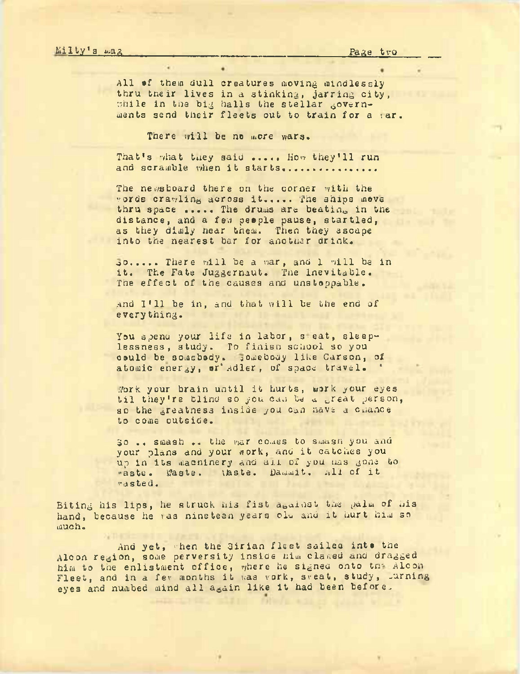All of them dull creatures moving mindlessly thru their lives in a stinking, jarring city, while in the big halls the stellar governments send their fleets out to train for a sar.

There will be no more wars.

That's what they said ..... How they'll run and scramble when it starts................

The newsboard there on the corner with the words crawling across it..... The ships move thru space ..... The drums are beating in the distance, and a few people pause, startled, as they dimly near them. Then they ascape into the nearest bar for another drink.

Jo..... There will be a war, and 1 will be in it. The Fate Juggernaut. The Inevitable. The effect of the causes and unstoppable.

and I'll be in, and that will be the end of everything.

You spend your life in labor, seat, sleeplessness, study. To finish school so you could be somebody. somebody like Carson, of atomic energy, or Adler, of space travel.

Work your brain until it hurts, work your eyes til they're blind so you can be a great person, so the greatness inside you can have a chance to come outside.

30 .. smash .. the war comes to smash you and your plans and your work, and it catches you up in its machinery and all of you has gone to waste. Maste. (Aste. Dammit. All of it rasted.

Biting his lips, he struck his fist against the palm of his hand, because he has nineteen years old and it hurt him so much.

And yet, when the Sirian fleet sailed into the Alcon region, some perversity inside him clased and dragged him to the enlistment office, where he signed onto the Alcon Fleet, and in a fer months it was vork, sreat, study, lurning eyes and numbed mind all again like it had been before.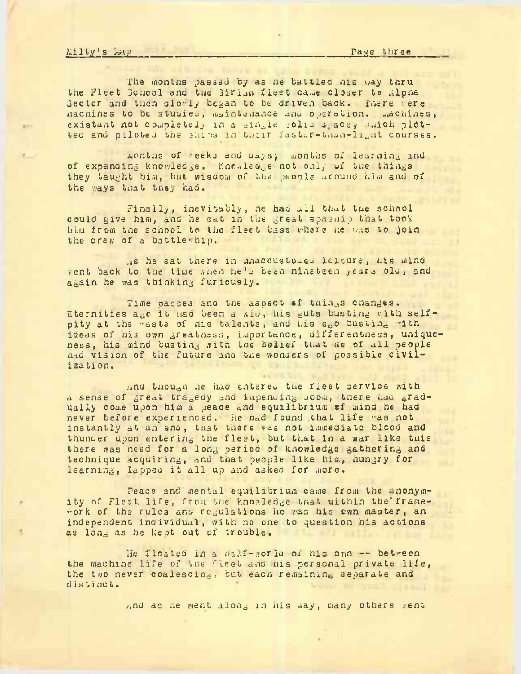kilty's mag\_\_\_\_\_\_\_\_\_\_\_\_\_\_\_\_\_\_\_\_ \_\_\_\_\_\_\_\_\_\_\_\_\_\_\_\_\_\_\_\_\_\_ Page three\_\_\_\_\_

The months passed by as he battled his way thru the Fleet School and the Sirian fleet came closer to Alpha Sector and then slo-ly began to be driven back. There ere machines to be studied, maintenance and operation. machines, existant not completely in a single solid s-ace, shick plotted and piloted the ships in their faster-than-light courses.

months of reeks and uays; months of learning and of expanding knowledge. Knowledge not only of the things they taught him, but wiscom of the people around him and of the ways that they had.

Finally, inevitably, he had all that the school could give him, and he sat in the great spasnip that took him from the school to the fleet base v/here he was to join the crew of a battle-hip.

.is he sat there in unaccustomed leisure, his mind rent back to the time shen he's been nineteen years old, and again he was thinking furiously.

Time passes and the aspect of things changes. Eternities age it had been <sup>a</sup> kiu , his guts busting vith selfpity at the waste of his talents, and his ego busting with ideas of nis own greatness, importance, differentness, uniqueness, his mind busting with the belief that ne of all people had vision of the future and the wonders of possible civiliza ti on.

and though ne had entereu the fleet service with a sense of great tragedy and impending Joom, there had gradually come upon him a peace and equilibrium of mind he had never before experienced. he nad found that life was not instantly at an eno, tnat there was not immediate blood and thunder upon entering tne fleet, but that in <sup>a</sup> war like tnis there was need for a long period of knowledge gathering and technique acquiring, and that people like him, hungry for learning, lapped it all up and asked for more.

Peace and mental equilibrium came from the anonymity of Fleet life, from the knowledge that within the framework of the rules and regulations he was his own master, an independent individual, with no one to question his actions as long as he kept out of trouble.

lie floated in <sup>a</sup> half-ivor la of nis own -- between the machine life of the fleet and his personal private life, the two never coalescing, but eacn remaining separate and distinct.

and as ne went along in his way, many others vent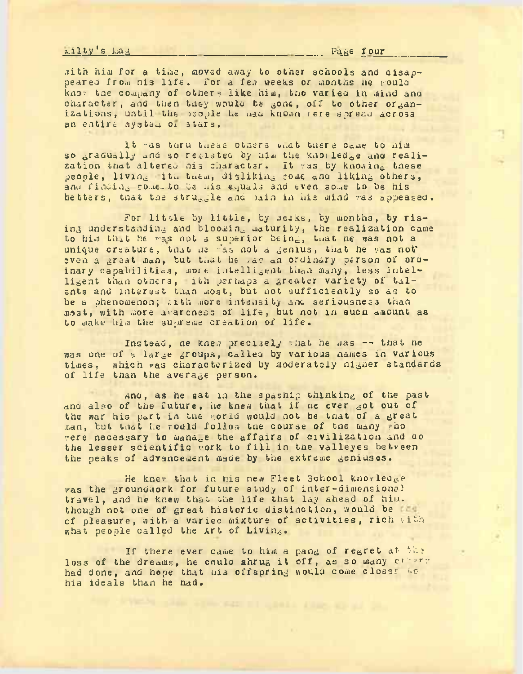## $m$ ilty's  $mag$  Pa $g$  f our

with him for a time, moved away to other schools and disappeared from his life. For a few weeks or months he rould knor tae company of others like him, tno varied in mind ana character, and then they would be gone, off to other organizations, until the people he mad known were spread across an entire system oi stars.

It "as taru these others that there came to him so gradually and so resisted by nim the knowledge and realization that altered his character. It was by knowing these people, living itu tuem, disliking some ana liking others, anu finding rome to be his equals and even some to be his betters, that the struggle and pain in his mind was appeased.

For little by little, by weeks, by months, by rising understanding and blooming maturity, the realization came to him that he was not a superior being, twat ne was not a unique creature, tnat ne <sup>r</sup>'as not <sup>a</sup> genius, tnat he was not' even a great man, but that he /as an ordinary person of ordinary capabilities, more intelligent than many, less intelligent than others, ith perhaps <sup>a</sup> greater variety of talents and interest than most, but not sufficiently so as to be a phenomenon; with more intensity and seriousness than most, with more awareness of life, but not in such amount as to make him the supreme creation of life.

Instead, ne knew precisely  $\nu$  that he was -- that he was one of a large groups, called by various names in various<br>times, which was characterized by moderately higher standard: which was characterized by moderately higher standards of life than the average person.

And, as he sat in the spaship thinking of the past and also of the future, he knew that if he ever got out of the war his part in the gorld would not be that of a great man, but that he rould follow the course of the many who were necessary to manage the affairs of civilization and ao the lesser scientific work to fill in tne valleyes between the peaks of advancement made by the extreme geniuses.

He knev that in his new Fleet School knowledge was the groundwork for future study of inter-dimensional travel, and he knew that the life that lay ahead of him. though not one of great historic distinction, would be not of pleasure, with a varied mixture of activities, rich with what people called the Art of Living.

If there ever came to him a pang of regret at the loss of the dreams, he could shrug it off, as so many creame had done, and hope that his offspring would come closer to his ideals than he nad.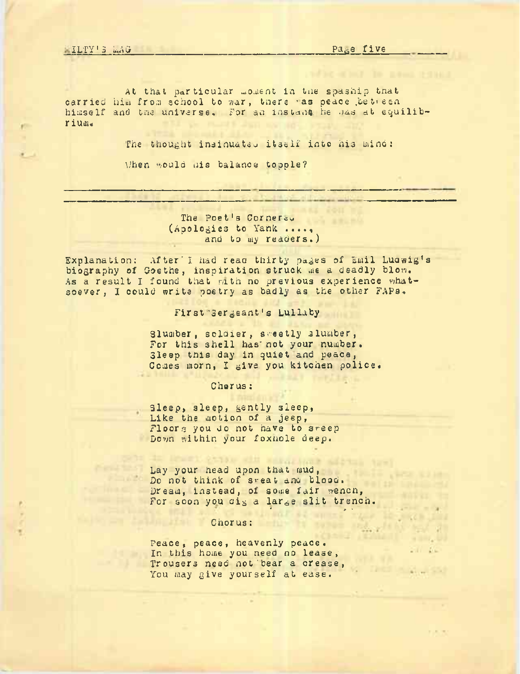At that particular moment in tne spaship tnat carried him from school to war, there 'as peace between himself and tne universe. For an instant. he nas at equilibr iuau

The thought insinuated itself into his mind:

Uhen would mis balance topple?

The Poet's Corner<sub>cy</sub> (Apologies to Yank ...., and to my readers.)

Explanation: After'I had read thirty pages of Emil Luawig's biography of Goethe, inspiration struck me a deadly bion. As a result I found that rath no previous experience whatsoever, I could write poetry as badly as the other FAPa.

First Sergeant's Lullaby

Slumber, soldier, sweetly slumber, For this shell has'not your number. Sleep tnis day in quiet and peace, Comes morn, I give you kitchen police.

Chorus ;

Sleep, sleep, gently sleep, Like the motion of a jeep, Floors you do not have to sweep Down within your foxnole deep.

Lay your head upon that mud, Do not think of sweat and blood. Dream, instead, of some fair wench, pream, instead, of some fair wendin,<br>For soon you dig a large slit trench.

# **Chorus:**

Peace, peace, heavenly peace. In this home you need no lease; Trousers need not bear a crease, You may give yourself at ease.

**Second State** 

ht has go **HALL Salt Des** 

 $1.11 - 1.1$ 

**THE REAL AND STAT** 

 $\frac{1}{2}$